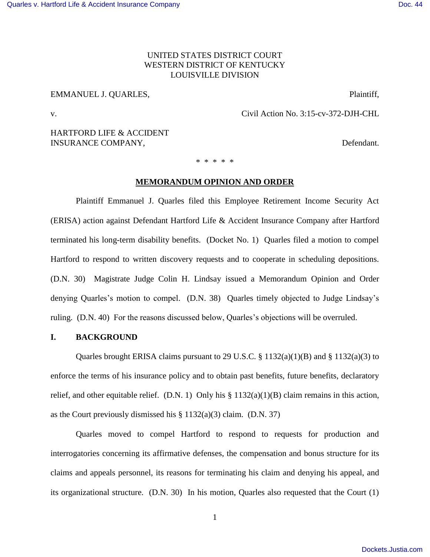# UNITED STATES DISTRICT COURT WESTERN DISTRICT OF KENTUCKY LOUISVILLE DIVISION

## EMMANUEL J. QUARLES, Plaintiff,

v. Civil Action No. 3:15-cv-372-DJH-CHL

# HARTFORD LIFE & ACCIDENT INSURANCE COMPANY, The company of the company of the company of the company of the company of the company of the company of the company of the company of the company of the company of the company of the company of the comp

\* \* \* \* \*

## **MEMORANDUM OPINION AND ORDER**

 Plaintiff Emmanuel J. Quarles filed this Employee Retirement Income Security Act (ERISA) action against Defendant Hartford Life & Accident Insurance Company after Hartford terminated his long-term disability benefits. (Docket No. 1) Quarles filed a motion to compel Hartford to respond to written discovery requests and to cooperate in scheduling depositions. (D.N. 30) Magistrate Judge Colin H. Lindsay issued a Memorandum Opinion and Order denying Quarles's motion to compel. (D.N. 38) Quarles timely objected to Judge Lindsay's ruling. (D.N. 40) For the reasons discussed below, Quarles's objections will be overruled.

# **I. BACKGROUND**

 Quarles brought ERISA claims pursuant to 29 U.S.C. § 1132(a)(1)(B) and § 1132(a)(3) to enforce the terms of his insurance policy and to obtain past benefits, future benefits, declaratory relief, and other equitable relief. (D.N. 1) Only his  $\S 1132(a)(1)(B)$  claim remains in this action, as the Court previously dismissed his  $\S 1132(a)(3)$  claim. (D.N. 37)

 Quarles moved to compel Hartford to respond to requests for production and interrogatories concerning its affirmative defenses, the compensation and bonus structure for its claims and appeals personnel, its reasons for terminating his claim and denying his appeal, and its organizational structure. (D.N. 30) In his motion, Quarles also requested that the Court (1)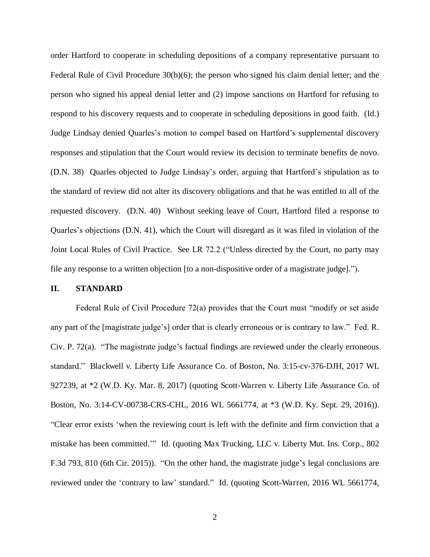order Hartford to cooperate in scheduling depositions of a company representative pursuant to Federal Rule of Civil Procedure 30(b)(6); the person who signed his claim denial letter; and the person who signed his appeal denial letter and (2) impose sanctions on Hartford for refusing to respond to his discovery requests and to cooperate in scheduling depositions in good faith. (Id.) Judge Lindsay denied Quarles's motion to compel based on Hartford's supplemental discovery responses and stipulation that the Court would review its decision to terminate benefits de novo. (D.N. 38) Quarles objected to Judge Lindsay's order, arguing that Hartford's stipulation as to the standard of review did not alter its discovery obligations and that he was entitled to all of the requested discovery. (D.N. 40) Without seeking leave of Court, Hartford filed a response to Quarles's objections (D.N. 41), which the Court will disregard as it was filed in violation of the Joint Local Rules of Civil Practice. See LR 72.2 ("Unless directed by the Court, no party may file any response to a written objection [to a non-dispositive order of a magistrate judge].").

## **II. STANDARD**

Federal Rule of Civil Procedure 72(a) provides that the Court must "modify or set aside any part of the [magistrate judge's] order that is clearly erroneous or is contrary to law." Fed. R. Civ. P. 72(a). "The magistrate judge's factual findings are reviewed under the clearly erroneous standard." Blackwell v. Liberty Life Assurance Co. of Boston, No. 3:15-cv-376-DJH, 2017 WL 927239, at \*2 (W.D. Ky. Mar. 8, 2017) (quoting Scott-Warren v. Liberty Life Assurance Co. of Boston, No. 3:14-CV-00738-CRS-CHL, 2016 WL 5661774, at \*3 (W.D. Ky. Sept. 29, 2016)). "Clear error exists 'when the reviewing court is left with the definite and firm conviction that a mistake has been committed.'" Id. (quoting Max Trucking, LLC v. Liberty Mut. Ins. Corp., 802 F.3d 793, 810 (6th Cir. 2015)). "On the other hand, the magistrate judge's legal conclusions are reviewed under the 'contrary to law' standard." Id. (quoting Scott-Warren, 2016 WL 5661774,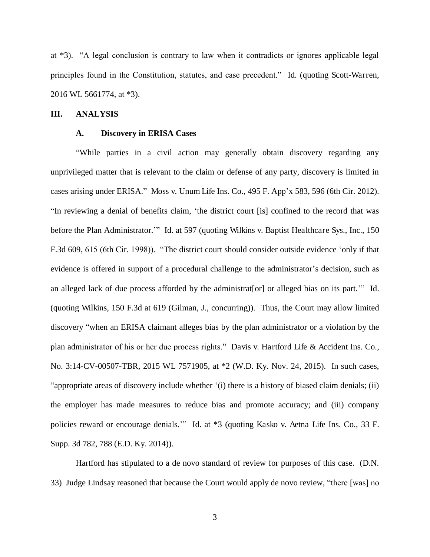at \*3). "A legal conclusion is contrary to law when it contradicts or ignores applicable legal principles found in the Constitution, statutes, and case precedent." Id. (quoting Scott-Warren, 2016 WL 5661774, at \*3).

## **III. ANALYSIS**

#### **A. Discovery in ERISA Cases**

"While parties in a civil action may generally obtain discovery regarding any unprivileged matter that is relevant to the claim or defense of any party, discovery is limited in cases arising under ERISA." Moss v. Unum Life Ins. Co., 495 F. App'x 583, 596 (6th Cir. 2012). "In reviewing a denial of benefits claim, 'the district court [is] confined to the record that was before the Plan Administrator." Id. at 597 (quoting Wilkins v. Baptist Healthcare Sys., Inc., 150 F.3d 609, 615 (6th Cir. 1998)). "The district court should consider outside evidence 'only if that evidence is offered in support of a procedural challenge to the administrator's decision, such as an alleged lack of due process afforded by the administrat[or] or alleged bias on its part.'" Id. (quoting Wilkins, 150 F.3d at 619 (Gilman, J., concurring)). Thus, the Court may allow limited discovery "when an ERISA claimant alleges bias by the plan administrator or a violation by the plan administrator of his or her due process rights." Davis v. Hartford Life & Accident Ins. Co., No. 3:14-CV-00507-TBR, 2015 WL 7571905, at \*2 (W.D. Ky. Nov. 24, 2015). In such cases, "appropriate areas of discovery include whether '(i) there is a history of biased claim denials; (ii) the employer has made measures to reduce bias and promote accuracy; and (iii) company policies reward or encourage denials.'" Id. at \*3 (quoting Kasko v. Aetna Life Ins. Co., 33 F. Supp. 3d 782, 788 (E.D. Ky. 2014)).

 Hartford has stipulated to a de novo standard of review for purposes of this case. (D.N. 33) Judge Lindsay reasoned that because the Court would apply de novo review, "there [was] no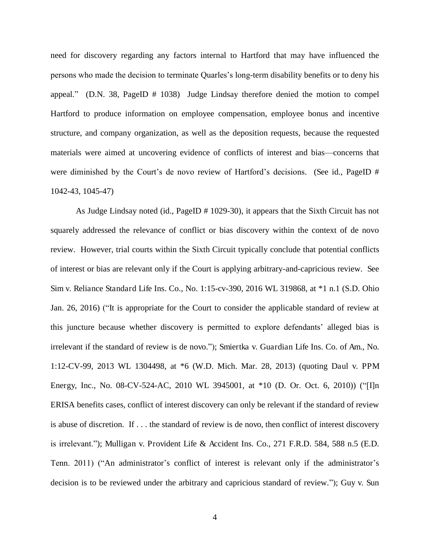need for discovery regarding any factors internal to Hartford that may have influenced the persons who made the decision to terminate Quarles's long-term disability benefits or to deny his appeal." (D.N. 38, PageID # 1038) Judge Lindsay therefore denied the motion to compel Hartford to produce information on employee compensation, employee bonus and incentive structure, and company organization, as well as the deposition requests, because the requested materials were aimed at uncovering evidence of conflicts of interest and bias—concerns that were diminished by the Court's de novo review of Hartford's decisions. (See id., PageID # 1042-43, 1045-47)

 As Judge Lindsay noted (id., PageID # 1029-30), it appears that the Sixth Circuit has not squarely addressed the relevance of conflict or bias discovery within the context of de novo review. However, trial courts within the Sixth Circuit typically conclude that potential conflicts of interest or bias are relevant only if the Court is applying arbitrary-and-capricious review. See Sim v. Reliance Standard Life Ins. Co., No. 1:15-cv-390, 2016 WL 319868, at \*1 n.1 (S.D. Ohio Jan. 26, 2016) ("It is appropriate for the Court to consider the applicable standard of review at this juncture because whether discovery is permitted to explore defendants' alleged bias is irrelevant if the standard of review is de novo."); Smiertka v. Guardian Life Ins. Co. of Am., No. 1:12-CV-99, 2013 WL 1304498, at \*6 (W.D. Mich. Mar. 28, 2013) (quoting Daul v. PPM Energy, Inc., No. 08-CV-524-AC, 2010 WL 3945001, at \*10 (D. Or. Oct. 6, 2010)) ("[I]n ERISA benefits cases, conflict of interest discovery can only be relevant if the standard of review is abuse of discretion. If . . . the standard of review is de novo, then conflict of interest discovery is irrelevant."); Mulligan v. Provident Life & Accident Ins. Co., 271 F.R.D. 584, 588 n.5 (E.D. Tenn. 2011) ("An administrator's conflict of interest is relevant only if the administrator's decision is to be reviewed under the arbitrary and capricious standard of review."); Guy v. Sun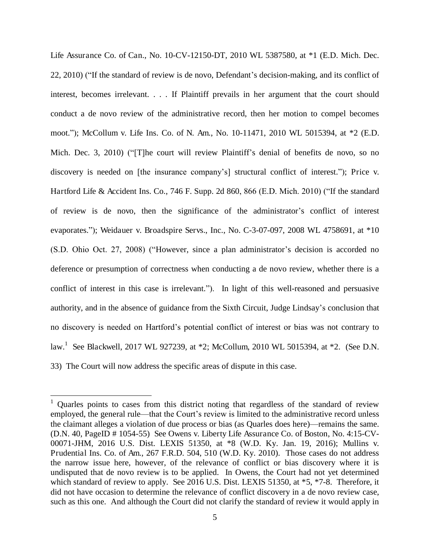Life Assurance Co. of Can., No. 10-CV-12150-DT, 2010 WL 5387580, at \*1 (E.D. Mich. Dec. 22, 2010) ("If the standard of review is de novo, Defendant's decision-making, and its conflict of interest, becomes irrelevant. . . . If Plaintiff prevails in her argument that the court should conduct a de novo review of the administrative record, then her motion to compel becomes moot."); McCollum v. Life Ins. Co. of N. Am., No. 10-11471, 2010 WL 5015394, at \*2 (E.D. Mich. Dec. 3, 2010) ("[T]he court will review Plaintiff's denial of benefits de novo, so no discovery is needed on [the insurance company's] structural conflict of interest."); Price v. Hartford Life & Accident Ins. Co., 746 F. Supp. 2d 860, 866 (E.D. Mich. 2010) ("If the standard of review is de novo, then the significance of the administrator's conflict of interest evaporates."); Weidauer v. Broadspire Servs., Inc., No. C-3-07-097, 2008 WL 4758691, at \*10 (S.D. Ohio Oct. 27, 2008) ("However, since a plan administrator's decision is accorded no deference or presumption of correctness when conducting a de novo review, whether there is a conflict of interest in this case is irrelevant."). In light of this well-reasoned and persuasive authority, and in the absence of guidance from the Sixth Circuit, Judge Lindsay's conclusion that no discovery is needed on Hartford's potential conflict of interest or bias was not contrary to law.<sup>1</sup> See Blackwell, 2017 WL 927239, at \*2; McCollum, 2010 WL 5015394, at \*2. (See D.N. 33) The Court will now address the specific areas of dispute in this case.

 $\overline{a}$ 

<sup>&</sup>lt;sup>1</sup> Quarles points to cases from this district noting that regardless of the standard of review employed, the general rule—that the Court's review is limited to the administrative record unless the claimant alleges a violation of due process or bias (as Quarles does here)—remains the same. (D.N. 40, PageID # 1054-55) See Owens v. Liberty Life Assurance Co. of Boston, No. 4:15-CV-00071-JHM, 2016 U.S. Dist. LEXIS 51350, at \*8 (W.D. Ky. Jan. 19, 2016); Mullins v. Prudential Ins. Co. of Am., 267 F.R.D. 504, 510 (W.D. Ky. 2010). Those cases do not address the narrow issue here, however, of the relevance of conflict or bias discovery where it is undisputed that de novo review is to be applied. In Owens, the Court had not yet determined which standard of review to apply. See 2016 U.S. Dist. LEXIS 51350, at  $*5$ ,  $*7-8$ . Therefore, it did not have occasion to determine the relevance of conflict discovery in a de novo review case, such as this one. And although the Court did not clarify the standard of review it would apply in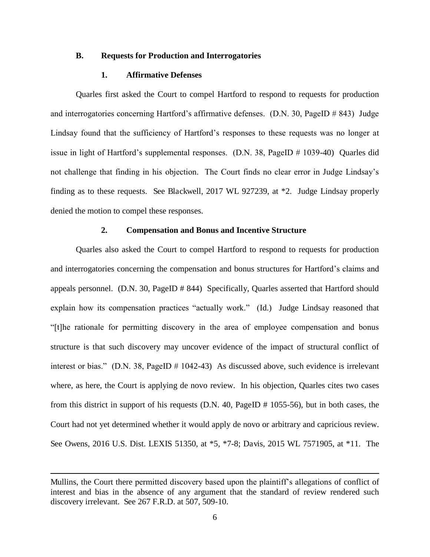#### **B. Requests for Production and Interrogatories**

### **1. Affirmative Defenses**

Quarles first asked the Court to compel Hartford to respond to requests for production and interrogatories concerning Hartford's affirmative defenses. (D.N. 30, PageID # 843) Judge Lindsay found that the sufficiency of Hartford's responses to these requests was no longer at issue in light of Hartford's supplemental responses. (D.N. 38, PageID # 1039-40) Quarles did not challenge that finding in his objection. The Court finds no clear error in Judge Lindsay's finding as to these requests. See Blackwell, 2017 WL 927239, at \*2. Judge Lindsay properly denied the motion to compel these responses.

## **2. Compensation and Bonus and Incentive Structure**

Quarles also asked the Court to compel Hartford to respond to requests for production and interrogatories concerning the compensation and bonus structures for Hartford's claims and appeals personnel. (D.N. 30, PageID # 844) Specifically, Quarles asserted that Hartford should explain how its compensation practices "actually work." (Id.) Judge Lindsay reasoned that "[t]he rationale for permitting discovery in the area of employee compensation and bonus structure is that such discovery may uncover evidence of the impact of structural conflict of interest or bias." (D.N. 38, PageID # 1042-43) As discussed above, such evidence is irrelevant where, as here, the Court is applying de novo review. In his objection, Quarles cites two cases from this district in support of his requests (D.N. 40, PageID # 1055-56), but in both cases, the Court had not yet determined whether it would apply de novo or arbitrary and capricious review. See Owens, 2016 U.S. Dist. LEXIS 51350, at \*5, \*7-8; Davis, 2015 WL 7571905, at \*11. The

l

Mullins, the Court there permitted discovery based upon the plaintiff's allegations of conflict of interest and bias in the absence of any argument that the standard of review rendered such discovery irrelevant. See 267 F.R.D. at 507, 509-10.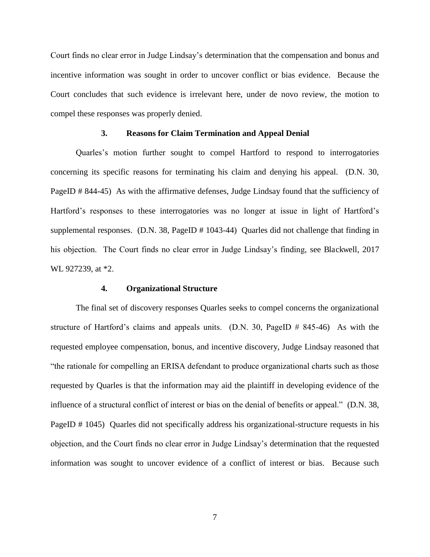Court finds no clear error in Judge Lindsay's determination that the compensation and bonus and incentive information was sought in order to uncover conflict or bias evidence. Because the Court concludes that such evidence is irrelevant here, under de novo review, the motion to compel these responses was properly denied.

#### **3. Reasons for Claim Termination and Appeal Denial**

Quarles's motion further sought to compel Hartford to respond to interrogatories concerning its specific reasons for terminating his claim and denying his appeal. (D.N. 30, PageID # 844-45) As with the affirmative defenses, Judge Lindsay found that the sufficiency of Hartford's responses to these interrogatories was no longer at issue in light of Hartford's supplemental responses. (D.N. 38, PageID # 1043-44) Quarles did not challenge that finding in his objection. The Court finds no clear error in Judge Lindsay's finding, see Blackwell, 2017 WL 927239, at \*2.

## **4. Organizational Structure**

 The final set of discovery responses Quarles seeks to compel concerns the organizational structure of Hartford's claims and appeals units.  $(D.N. 30, PageID # 845-46)$  As with the requested employee compensation, bonus, and incentive discovery, Judge Lindsay reasoned that "the rationale for compelling an ERISA defendant to produce organizational charts such as those requested by Quarles is that the information may aid the plaintiff in developing evidence of the influence of a structural conflict of interest or bias on the denial of benefits or appeal." (D.N. 38, PageID # 1045) Quarles did not specifically address his organizational-structure requests in his objection, and the Court finds no clear error in Judge Lindsay's determination that the requested information was sought to uncover evidence of a conflict of interest or bias. Because such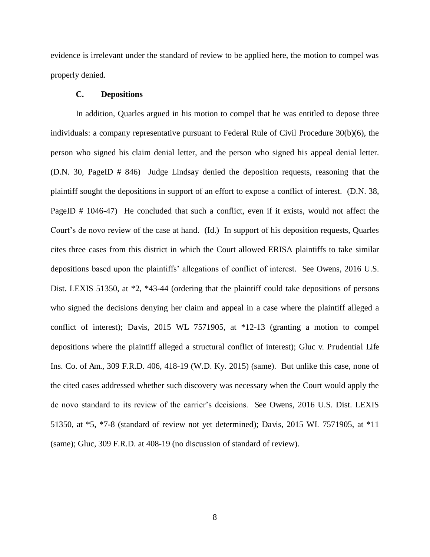evidence is irrelevant under the standard of review to be applied here, the motion to compel was properly denied.

## **C. Depositions**

In addition, Quarles argued in his motion to compel that he was entitled to depose three individuals: a company representative pursuant to Federal Rule of Civil Procedure 30(b)(6), the person who signed his claim denial letter, and the person who signed his appeal denial letter. (D.N. 30, PageID # 846) Judge Lindsay denied the deposition requests, reasoning that the plaintiff sought the depositions in support of an effort to expose a conflict of interest. (D.N. 38, PageID # 1046-47) He concluded that such a conflict, even if it exists, would not affect the Court's de novo review of the case at hand. (Id.) In support of his deposition requests, Quarles cites three cases from this district in which the Court allowed ERISA plaintiffs to take similar depositions based upon the plaintiffs' allegations of conflict of interest. See Owens, 2016 U.S. Dist. LEXIS 51350, at  $*2$ ,  $*43-44$  (ordering that the plaintiff could take depositions of persons who signed the decisions denying her claim and appeal in a case where the plaintiff alleged a conflict of interest); Davis, 2015 WL 7571905, at \*12-13 (granting a motion to compel depositions where the plaintiff alleged a structural conflict of interest); Gluc v. Prudential Life Ins. Co. of Am., 309 F.R.D. 406, 418-19 (W.D. Ky. 2015) (same). But unlike this case, none of the cited cases addressed whether such discovery was necessary when the Court would apply the de novo standard to its review of the carrier's decisions. See Owens, 2016 U.S. Dist. LEXIS 51350, at \*5, \*7-8 (standard of review not yet determined); Davis, 2015 WL 7571905, at \*11 (same); Gluc, 309 F.R.D. at 408-19 (no discussion of standard of review).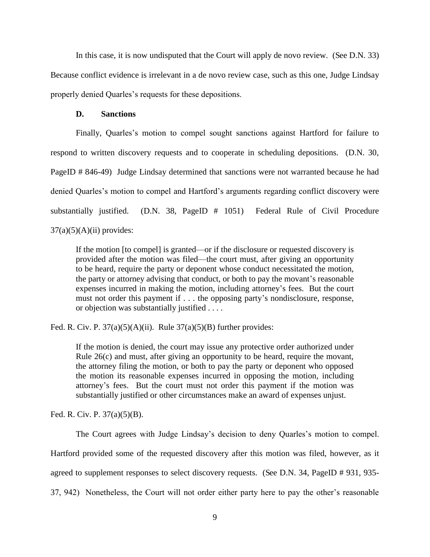In this case, it is now undisputed that the Court will apply de novo review. (See D.N. 33) Because conflict evidence is irrelevant in a de novo review case, such as this one, Judge Lindsay properly denied Quarles's requests for these depositions.

#### **D. Sanctions**

 Finally, Quarles's motion to compel sought sanctions against Hartford for failure to respond to written discovery requests and to cooperate in scheduling depositions. (D.N. 30, PageID # 846-49) Judge Lindsay determined that sanctions were not warranted because he had denied Quarles's motion to compel and Hartford's arguments regarding conflict discovery were substantially justified. (D.N. 38, PageID # 1051) Federal Rule of Civil Procedure  $37(a)(5)(A)(ii)$  provides:

If the motion [to compel] is granted—or if the disclosure or requested discovery is provided after the motion was filed—the court must, after giving an opportunity to be heard, require the party or deponent whose conduct necessitated the motion, the party or attorney advising that conduct, or both to pay the movant's reasonable expenses incurred in making the motion, including attorney's fees. But the court must not order this payment if . . . the opposing party's nondisclosure, response, or objection was substantially justified . . . .

Fed. R. Civ. P.  $37(a)(5)(A)(ii)$ . Rule  $37(a)(5)(B)$  further provides:

If the motion is denied, the court may issue any protective order authorized under Rule 26(c) and must, after giving an opportunity to be heard, require the movant, the attorney filing the motion, or both to pay the party or deponent who opposed the motion its reasonable expenses incurred in opposing the motion, including attorney's fees. But the court must not order this payment if the motion was substantially justified or other circumstances make an award of expenses unjust.

Fed. R. Civ. P. 37(a)(5)(B).

The Court agrees with Judge Lindsay's decision to deny Quarles's motion to compel.

Hartford provided some of the requested discovery after this motion was filed, however, as it

agreed to supplement responses to select discovery requests. (See D.N. 34, PageID # 931, 935-

37, 942) Nonetheless, the Court will not order either party here to pay the other's reasonable